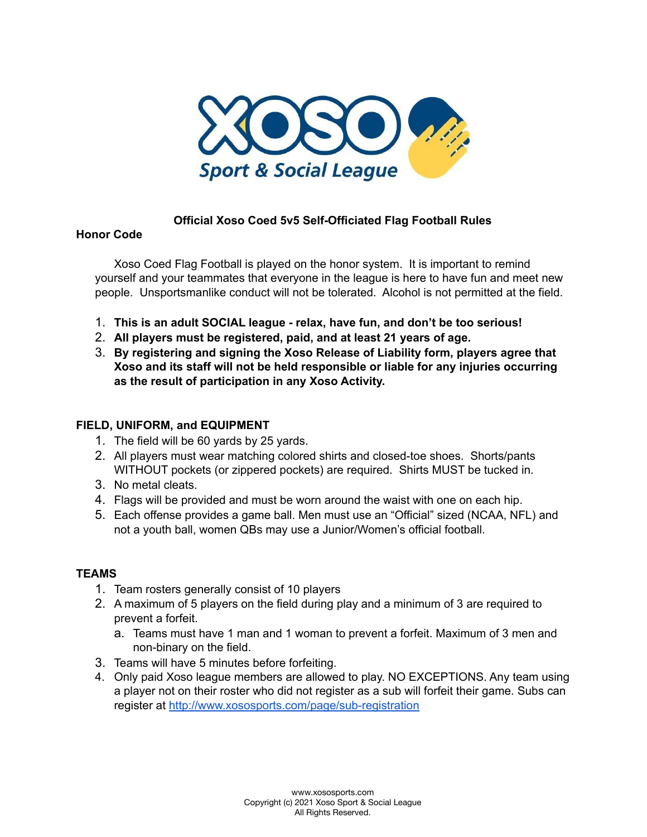

### **Official Xoso Coed 5v5 Self-Officiated Flag Football Rules**

### **Honor Code**

Xoso Coed Flag Football is played on the honor system. It is important to remind yourself and your teammates that everyone in the league is here to have fun and meet new people. Unsportsmanlike conduct will not be tolerated. Alcohol is not permitted at the field.

- 1. **This is an adult SOCIAL league - relax, have fun, and don't be too serious!**
- 2. **All players must be registered, paid, and at least 21 years of age.**
- 3. **By registering and signing the Xoso Release of Liability form, players agree that Xoso and its staff will not be held responsible or liable for any injuries occurring as the result of participation in any Xoso Activity.**

### **FIELD, UNIFORM, and EQUIPMENT**

- 1. The field will be 60 yards by 25 yards.
- 2. All players must wear matching colored shirts and closed-toe shoes. Shorts/pants WITHOUT pockets (or zippered pockets) are required. Shirts MUST be tucked in.
- 3. No metal cleats.
- 4. Flags will be provided and must be worn around the waist with one on each hip.
- 5. Each offense provides a game ball. Men must use an "Official" sized (NCAA, NFL) and not a youth ball, women QBs may use a Junior/Women's official football.

#### **TEAMS**

- 1. Team rosters generally consist of 10 players
- 2. A maximum of 5 players on the field during play and a minimum of 3 are required to prevent a forfeit.
	- a. Teams must have 1 man and 1 woman to prevent a forfeit. Maximum of 3 men and non-binary on the field.
- 3. Teams will have 5 minutes before forfeiting.
- 4. Only paid Xoso league members are allowed to play. NO EXCEPTIONS. Any team using a player not on their roster who did not register as a sub will forfeit their game. Subs can register at <http://www.xososports.com/page/sub-registration>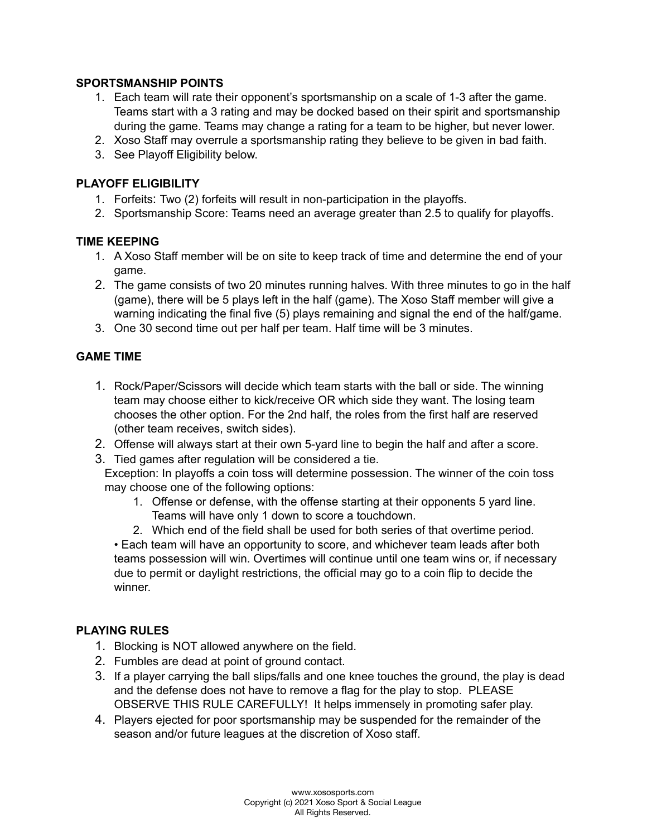### **SPORTSMANSHIP POINTS**

- 1. Each team will rate their opponent's sportsmanship on a scale of 1-3 after the game. Teams start with a 3 rating and may be docked based on their spirit and sportsmanship during the game. Teams may change a rating for a team to be higher, but never lower.
- 2. Xoso Staff may overrule a sportsmanship rating they believe to be given in bad faith.
- 3. See Playoff Eligibility below.

### **PLAYOFF ELIGIBILITY**

- 1. Forfeits: Two (2) forfeits will result in non-participation in the playoffs.
- 2. Sportsmanship Score: Teams need an average greater than 2.5 to qualify for playoffs.

### **TIME KEEPING**

- 1. A Xoso Staff member will be on site to keep track of time and determine the end of your game.
- 2. The game consists of two 20 minutes running halves. With three minutes to go in the half (game), there will be 5 plays left in the half (game). The Xoso Staff member will give a warning indicating the final five (5) plays remaining and signal the end of the half/game.
- 3. One 30 second time out per half per team. Half time will be 3 minutes.

### **GAME TIME**

- 1. Rock/Paper/Scissors will decide which team starts with the ball or side. The winning team may choose either to kick/receive OR which side they want. The losing team chooses the other option. For the 2nd half, the roles from the first half are reserved (other team receives, switch sides).
- 2. Offense will always start at their own 5-yard line to begin the half and after a score.
- 3. Tied games after regulation will be considered a tie.

Exception: In playoffs a coin toss will determine possession. The winner of the coin toss may choose one of the following options:

- 1. Offense or defense, with the offense starting at their opponents 5 yard line. Teams will have only 1 down to score a touchdown.
- 2. Which end of the field shall be used for both series of that overtime period.

• Each team will have an opportunity to score, and whichever team leads after both teams possession will win. Overtimes will continue until one team wins or, if necessary due to permit or daylight restrictions, the official may go to a coin flip to decide the winner.

### **PLAYING RULES**

- 1. Blocking is NOT allowed anywhere on the field.
- 2. Fumbles are dead at point of ground contact.
- 3. If a player carrying the ball slips/falls and one knee touches the ground, the play is dead and the defense does not have to remove a flag for the play to stop. PLEASE OBSERVE THIS RULE CAREFULLY! It helps immensely in promoting safer play.
- 4. Players ejected for poor sportsmanship may be suspended for the remainder of the season and/or future leagues at the discretion of Xoso staff.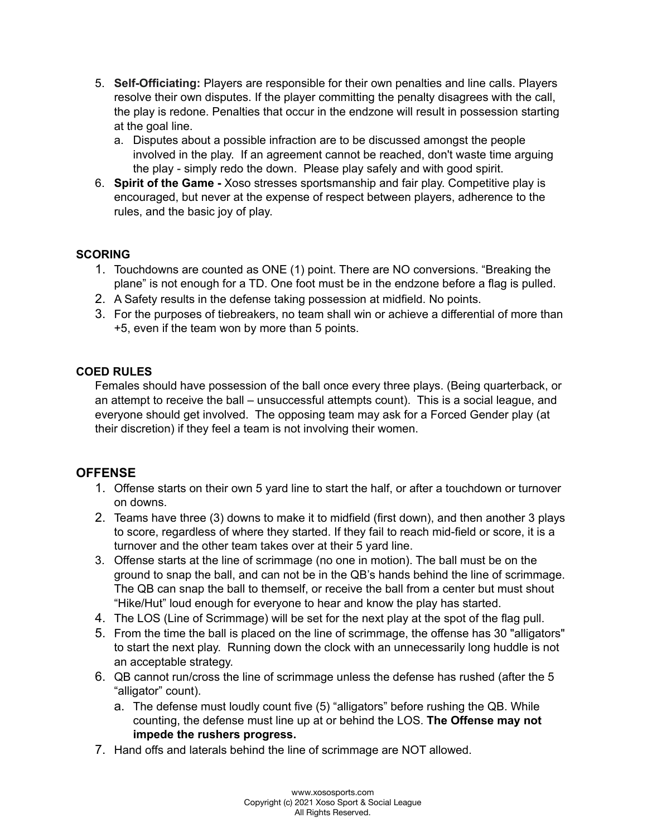- 5. **Self-Officiating:** Players are responsible for their own penalties and line calls. Players resolve their own disputes. If the player committing the penalty disagrees with the call, the play is redone. Penalties that occur in the endzone will result in possession starting at the goal line.
	- a. Disputes about a possible infraction are to be discussed amongst the people involved in the play. If an agreement cannot be reached, don't waste time arguing the play - simply redo the down. Please play safely and with good spirit.
- 6. **Spirit of the Game -** Xoso stresses sportsmanship and fair play. Competitive play is encouraged, but never at the expense of respect between players, adherence to the rules, and the basic joy of play.

## **SCORING**

- 1. Touchdowns are counted as ONE (1) point. There are NO conversions. "Breaking the plane" is not enough for a TD. One foot must be in the endzone before a flag is pulled.
- 2. A Safety results in the defense taking possession at midfield. No points.
- 3. For the purposes of tiebreakers, no team shall win or achieve a differential of more than +5, even if the team won by more than 5 points.

## **COED RULES**

Females should have possession of the ball once every three plays. (Being quarterback, or an attempt to receive the ball – unsuccessful attempts count). This is a social league, and everyone should get involved. The opposing team may ask for a Forced Gender play (at their discretion) if they feel a team is not involving their women.

# **OFFENSE**

- 1. Offense starts on their own 5 yard line to start the half, or after a touchdown or turnover on downs.
- 2. Teams have three (3) downs to make it to midfield (first down), and then another 3 plays to score, regardless of where they started. If they fail to reach mid-field or score, it is a turnover and the other team takes over at their 5 yard line.
- 3. Offense starts at the line of scrimmage (no one in motion). The ball must be on the ground to snap the ball, and can not be in the QB's hands behind the line of scrimmage. The QB can snap the ball to themself, or receive the ball from a center but must shout "Hike/Hut" loud enough for everyone to hear and know the play has started.
- 4. The LOS (Line of Scrimmage) will be set for the next play at the spot of the flag pull.
- 5. From the time the ball is placed on the line of scrimmage, the offense has 30 "alligators" to start the next play. Running down the clock with an unnecessarily long huddle is not an acceptable strategy.
- 6. QB cannot run/cross the line of scrimmage unless the defense has rushed (after the 5 "alligator" count).
	- a. The defense must loudly count five (5) "alligators" before rushing the QB. While counting, the defense must line up at or behind the LOS. **The Offense may not impede the rushers progress.**
- 7. Hand offs and laterals behind the line of scrimmage are NOT allowed.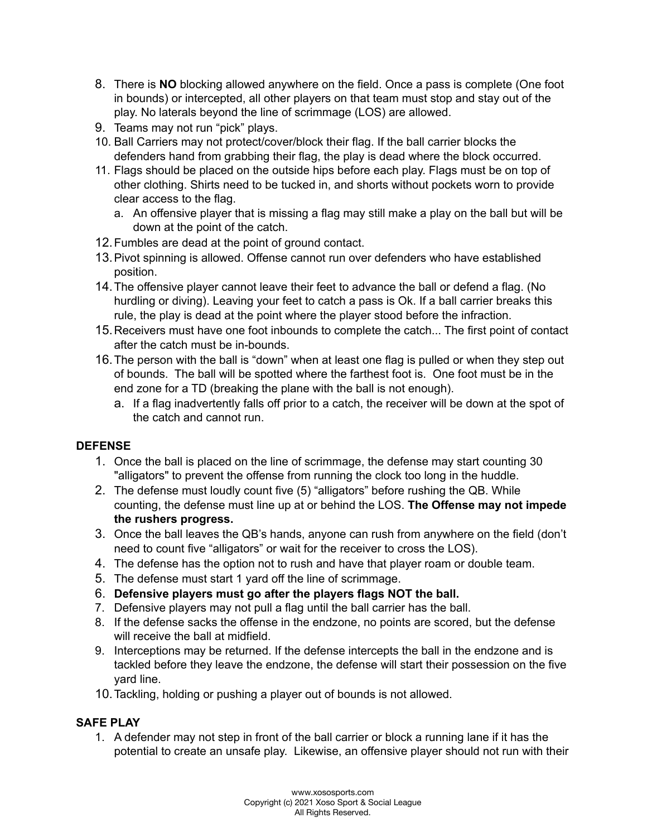- 8. There is **NO** blocking allowed anywhere on the field. Once a pass is complete (One foot in bounds) or intercepted, all other players on that team must stop and stay out of the play. No laterals beyond the line of scrimmage (LOS) are allowed.
- 9. Teams may not run "pick" plays.
- 10. Ball Carriers may not protect/cover/block their flag. If the ball carrier blocks the defenders hand from grabbing their flag, the play is dead where the block occurred.
- 11. Flags should be placed on the outside hips before each play. Flags must be on top of other clothing. Shirts need to be tucked in, and shorts without pockets worn to provide clear access to the flag.
	- a. An offensive player that is missing a flag may still make a play on the ball but will be down at the point of the catch.
- 12.Fumbles are dead at the point of ground contact.
- 13.Pivot spinning is allowed. Offense cannot run over defenders who have established position.
- 14.The offensive player cannot leave their feet to advance the ball or defend a flag. (No hurdling or diving). Leaving your feet to catch a pass is Ok. If a ball carrier breaks this rule, the play is dead at the point where the player stood before the infraction.
- 15.Receivers must have one foot inbounds to complete the catch... The first point of contact after the catch must be in-bounds.
- 16.The person with the ball is "down" when at least one flag is pulled or when they step out of bounds. The ball will be spotted where the farthest foot is. One foot must be in the end zone for a TD (breaking the plane with the ball is not enough).
	- a. If a flag inadvertently falls off prior to a catch, the receiver will be down at the spot of the catch and cannot run.

## **DEFENSE**

- 1. Once the ball is placed on the line of scrimmage, the defense may start counting 30 "alligators" to prevent the offense from running the clock too long in the huddle.
- 2. The defense must loudly count five (5) "alligators" before rushing the QB. While counting, the defense must line up at or behind the LOS. **The Offense may not impede the rushers progress.**
- 3. Once the ball leaves the QB's hands, anyone can rush from anywhere on the field (don't need to count five "alligators" or wait for the receiver to cross the LOS).
- 4. The defense has the option not to rush and have that player roam or double team.
- 5. The defense must start 1 yard off the line of scrimmage.
- 6. **Defensive players must go after the players flags NOT the ball.**
- 7. Defensive players may not pull a flag until the ball carrier has the ball.
- 8. If the defense sacks the offense in the endzone, no points are scored, but the defense will receive the ball at midfield.
- 9. Interceptions may be returned. If the defense intercepts the ball in the endzone and is tackled before they leave the endzone, the defense will start their possession on the five yard line.
- 10.Tackling, holding or pushing a player out of bounds is not allowed.

# **SAFE PLAY**

1. A defender may not step in front of the ball carrier or block a running lane if it has the potential to create an unsafe play. Likewise, an offensive player should not run with their